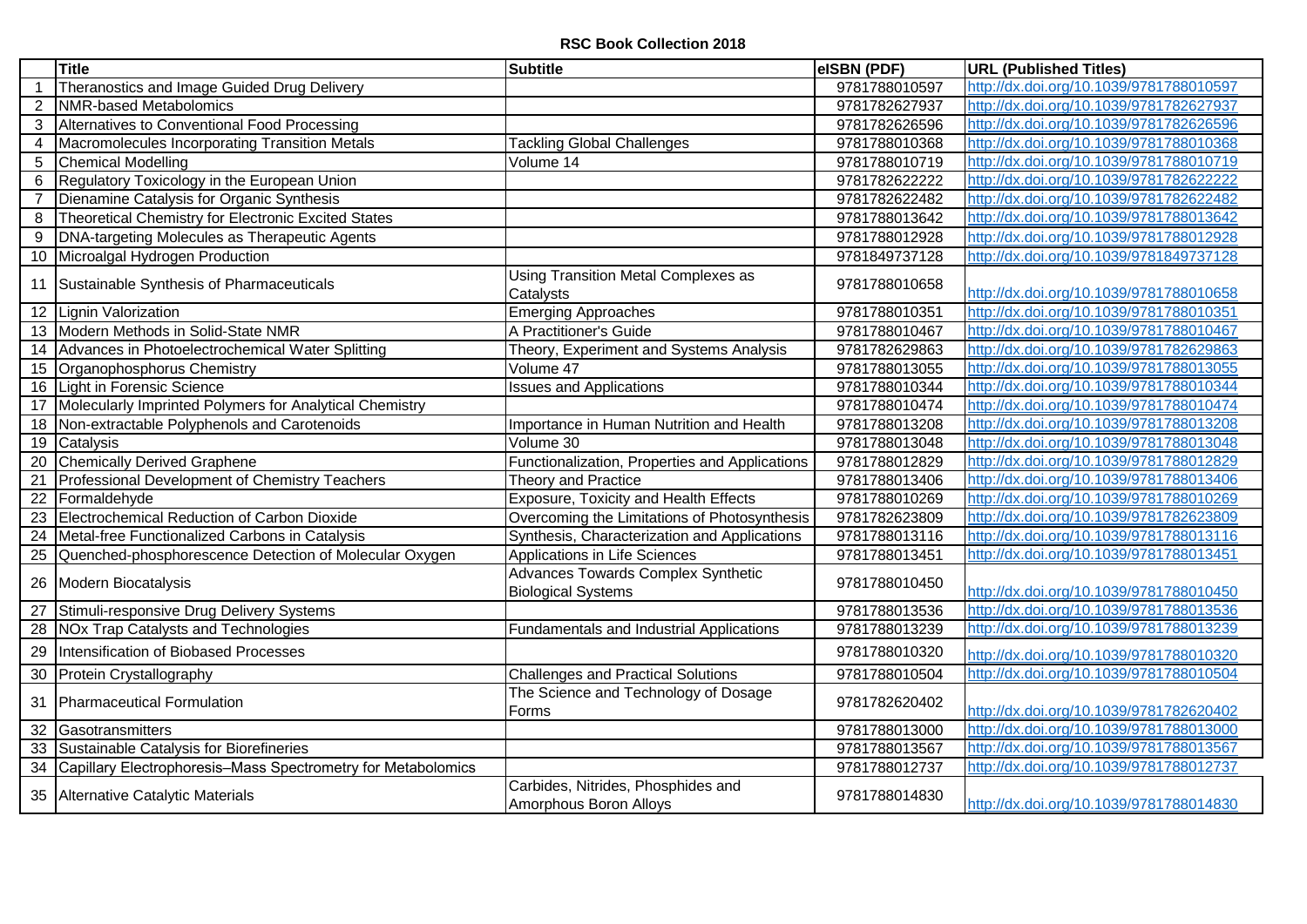|                | <b>Title</b>                                                 | <b>Subtitle</b>                                                 | eISBN (PDF)   | <b>URL (Published Titles)</b>           |
|----------------|--------------------------------------------------------------|-----------------------------------------------------------------|---------------|-----------------------------------------|
|                | Theranostics and Image Guided Drug Delivery                  |                                                                 | 9781788010597 | http://dx.doi.org/10.1039/9781788010597 |
| $\overline{2}$ | NMR-based Metabolomics                                       |                                                                 | 9781782627937 | http://dx.doi.org/10.1039/9781782627937 |
| 3              | Alternatives to Conventional Food Processing                 |                                                                 | 9781782626596 | http://dx.doi.org/10.1039/9781782626596 |
| 4              | Macromolecules Incorporating Transition Metals               | <b>Tackling Global Challenges</b>                               | 9781788010368 | http://dx.doi.org/10.1039/9781788010368 |
| 5              | <b>Chemical Modelling</b>                                    | Volume 14                                                       | 9781788010719 | http://dx.doi.org/10.1039/9781788010719 |
| 6              | Regulatory Toxicology in the European Union                  |                                                                 | 9781782622222 | http://dx.doi.org/10.1039/9781782622222 |
|                | Dienamine Catalysis for Organic Synthesis                    |                                                                 | 9781782622482 | http://dx.doi.org/10.1039/9781782622482 |
| 8              | Theoretical Chemistry for Electronic Excited States          |                                                                 | 9781788013642 | http://dx.doi.org/10.1039/9781788013642 |
| 9              | DNA-targeting Molecules as Therapeutic Agents                |                                                                 | 9781788012928 | http://dx.doi.org/10.1039/9781788012928 |
| 10             | Microalgal Hydrogen Production                               |                                                                 | 9781849737128 | http://dx.doi.org/10.1039/9781849737128 |
|                | 11 Sustainable Synthesis of Pharmaceuticals                  | <b>Using Transition Metal Complexes as</b><br>Catalysts         | 9781788010658 | http://dx.doi.org/10.1039/9781788010658 |
|                | 12 Lignin Valorization                                       | <b>Emerging Approaches</b>                                      | 9781788010351 | http://dx.doi.org/10.1039/9781788010351 |
|                | 13 Modern Methods in Solid-State NMR                         | A Practitioner's Guide                                          | 9781788010467 | http://dx.doi.org/10.1039/9781788010467 |
|                | 14 Advances in Photoelectrochemical Water Splitting          | Theory, Experiment and Systems Analysis                         | 9781782629863 | http://dx.doi.org/10.1039/9781782629863 |
|                | 15 Organophosphorus Chemistry                                | Volume 47                                                       | 9781788013055 | http://dx.doi.org/10.1039/9781788013055 |
| 16             | Light in Forensic Science                                    | <b>Issues and Applications</b>                                  | 9781788010344 | http://dx.doi.org/10.1039/9781788010344 |
| 17             | Molecularly Imprinted Polymers for Analytical Chemistry      |                                                                 | 9781788010474 | http://dx.doi.org/10.1039/9781788010474 |
|                | 18 Non-extractable Polyphenols and Carotenoids               | Importance in Human Nutrition and Health                        | 9781788013208 | http://dx.doi.org/10.1039/9781788013208 |
|                | 19 Catalysis                                                 | Volume 30                                                       | 9781788013048 | http://dx.doi.org/10.1039/9781788013048 |
| 20             | <b>Chemically Derived Graphene</b>                           | Functionalization, Properties and Applications                  | 9781788012829 | http://dx.doi.org/10.1039/9781788012829 |
| 21             | Professional Development of Chemistry Teachers               | Theory and Practice                                             | 9781788013406 | http://dx.doi.org/10.1039/9781788013406 |
| 22             | Formaldehyde                                                 | <b>Exposure, Toxicity and Health Effects</b>                    | 9781788010269 | http://dx.doi.org/10.1039/9781788010269 |
| 23             | Electrochemical Reduction of Carbon Dioxide                  | Overcoming the Limitations of Photosynthesis                    | 9781782623809 | http://dx.doi.org/10.1039/9781782623809 |
| 24             | Metal-free Functionalized Carbons in Catalysis               | Synthesis, Characterization and Applications                    | 9781788013116 | http://dx.doi.org/10.1039/9781788013116 |
|                | 25 Quenched-phosphorescence Detection of Molecular Oxygen    | Applications in Life Sciences                                   | 9781788013451 | http://dx.doi.org/10.1039/9781788013451 |
|                | 26 Modern Biocatalysis                                       | Advances Towards Complex Synthetic<br><b>Biological Systems</b> | 9781788010450 | http://dx.doi.org/10.1039/9781788010450 |
| 27             | Stimuli-responsive Drug Delivery Systems                     |                                                                 | 9781788013536 | http://dx.doi.org/10.1039/9781788013536 |
| 28             | NOx Trap Catalysts and Technologies                          | Fundamentals and Industrial Applications                        | 9781788013239 | http://dx.doi.org/10.1039/9781788013239 |
| 29             | Intensification of Biobased Processes                        |                                                                 | 9781788010320 | http://dx.doi.org/10.1039/9781788010320 |
| 30             | Protein Crystallography                                      | <b>Challenges and Practical Solutions</b>                       | 9781788010504 | http://dx.doi.org/10.1039/9781788010504 |
| 31             | Pharmaceutical Formulation                                   | The Science and Technology of Dosage<br>Forms                   | 9781782620402 | http://dx.doi.org/10.1039/9781782620402 |
|                | 32 Gasotransmitters                                          |                                                                 | 9781788013000 | http://dx.doi.org/10.1039/9781788013000 |
|                | 33 Sustainable Catalysis for Biorefineries                   |                                                                 | 9781788013567 | http://dx.doi.org/10.1039/9781788013567 |
| 34             | Capillary Electrophoresis-Mass Spectrometry for Metabolomics |                                                                 | 9781788012737 | http://dx.doi.org/10.1039/9781788012737 |
|                | 35 Alternative Catalytic Materials                           | Carbides, Nitrides, Phosphides and<br>Amorphous Boron Alloys    | 9781788014830 | http://dx.doi.org/10.1039/9781788014830 |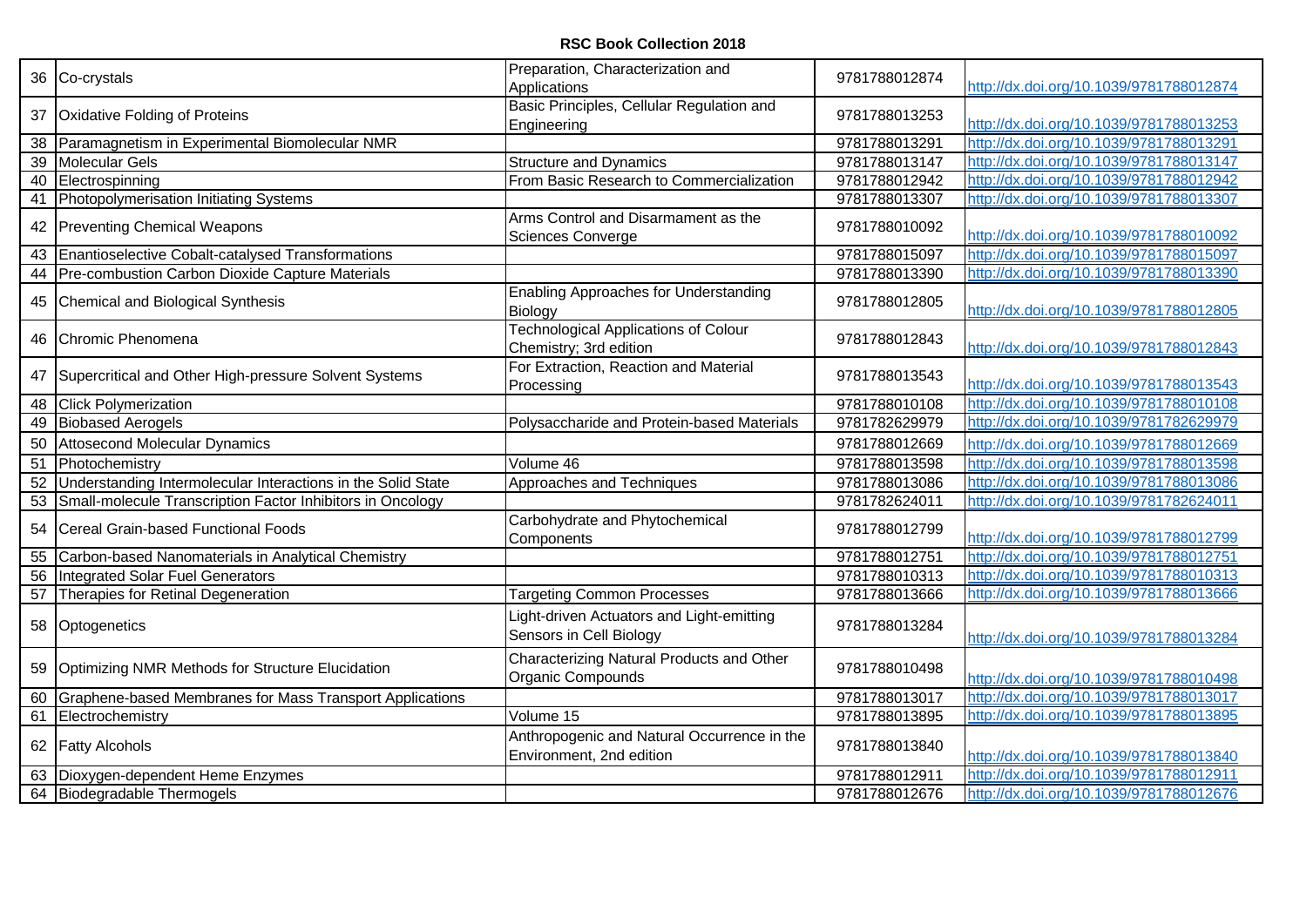## **RSC Book Collection 2018**

|                 | 36 Co-crystals                                               | Preparation, Characterization and<br>Applications                       | 9781788012874 | http://dx.doi.org/10.1039/9781788012874 |
|-----------------|--------------------------------------------------------------|-------------------------------------------------------------------------|---------------|-----------------------------------------|
| 37              | Oxidative Folding of Proteins                                | Basic Principles, Cellular Regulation and<br>Engineering                | 9781788013253 | http://dx.doi.org/10.1039/9781788013253 |
| 38              | Paramagnetism in Experimental Biomolecular NMR               |                                                                         | 9781788013291 | http://dx.doi.org/10.1039/9781788013291 |
| $\overline{39}$ | <b>Molecular Gels</b>                                        | <b>Structure and Dynamics</b>                                           | 9781788013147 | http://dx.doi.org/10.1039/9781788013147 |
| 40              | Electrospinning                                              | From Basic Research to Commercialization                                | 9781788012942 | http://dx.doi.org/10.1039/9781788012942 |
| 41              | Photopolymerisation Initiating Systems                       |                                                                         | 9781788013307 | http://dx.doi.org/10.1039/9781788013307 |
|                 | 42 Preventing Chemical Weapons                               | Arms Control and Disarmament as the<br><b>Sciences Converge</b>         | 9781788010092 | http://dx.doi.org/10.1039/9781788010092 |
| 43              | Enantioselective Cobalt-catalysed Transformations            |                                                                         | 9781788015097 | http://dx.doi.org/10.1039/9781788015097 |
| 44              | Pre-combustion Carbon Dioxide Capture Materials              |                                                                         | 9781788013390 | http://dx.doi.org/10.1039/9781788013390 |
| 45              | Chemical and Biological Synthesis                            | <b>Enabling Approaches for Understanding</b><br>Biology                 | 9781788012805 | http://dx.doi.org/10.1039/9781788012805 |
|                 | 46 Chromic Phenomena                                         | <b>Technological Applications of Colour</b><br>Chemistry; 3rd edition   | 9781788012843 | http://dx.doi.org/10.1039/9781788012843 |
| 47              | Supercritical and Other High-pressure Solvent Systems        | For Extraction, Reaction and Material<br>Processing                     | 9781788013543 | http://dx.doi.org/10.1039/9781788013543 |
| 48              | <b>Click Polymerization</b>                                  |                                                                         | 9781788010108 | http://dx.doi.org/10.1039/9781788010108 |
| 49              | <b>Biobased Aerogels</b>                                     | Polysaccharide and Protein-based Materials                              | 9781782629979 | http://dx.doi.org/10.1039/9781782629979 |
| 50              | <b>Attosecond Molecular Dynamics</b>                         |                                                                         | 9781788012669 | http://dx.doi.org/10.1039/9781788012669 |
| 51              | Photochemistry                                               | Volume 46                                                               | 9781788013598 | http://dx.doi.org/10.1039/9781788013598 |
| 52              | Understanding Intermolecular Interactions in the Solid State | Approaches and Techniques                                               | 9781788013086 | http://dx.doi.org/10.1039/9781788013086 |
| 53              | Small-molecule Transcription Factor Inhibitors in Oncology   |                                                                         | 9781782624011 | http://dx.doi.org/10.1039/9781782624011 |
| 54              | Cereal Grain-based Functional Foods                          | Carbohydrate and Phytochemical<br>Components                            | 9781788012799 | http://dx.doi.org/10.1039/9781788012799 |
| 55              | Carbon-based Nanomaterials in Analytical Chemistry           |                                                                         | 9781788012751 | http://dx.doi.org/10.1039/9781788012751 |
| 56              | <b>Integrated Solar Fuel Generators</b>                      |                                                                         | 9781788010313 | http://dx.doi.org/10.1039/9781788010313 |
| 57              | Therapies for Retinal Degeneration                           | <b>Targeting Common Processes</b>                                       | 9781788013666 | http://dx.doi.org/10.1039/9781788013666 |
|                 | 58 Optogenetics                                              | Light-driven Actuators and Light-emitting<br>Sensors in Cell Biology    | 9781788013284 | http://dx.doi.org/10.1039/9781788013284 |
|                 | 59 Optimizing NMR Methods for Structure Elucidation          | Characterizing Natural Products and Other<br>Organic Compounds          | 9781788010498 | http://dx.doi.org/10.1039/9781788010498 |
| 60              | Graphene-based Membranes for Mass Transport Applications     |                                                                         | 9781788013017 | http://dx.doi.org/10.1039/9781788013017 |
| 61              | Electrochemistry                                             | Volume 15                                                               | 9781788013895 | http://dx.doi.org/10.1039/9781788013895 |
|                 | 62 Fatty Alcohols                                            | Anthropogenic and Natural Occurrence in the<br>Environment, 2nd edition | 9781788013840 | http://dx.doi.org/10.1039/9781788013840 |
| 63              | Dioxygen-dependent Heme Enzymes                              |                                                                         | 9781788012911 | http://dx.doi.org/10.1039/9781788012911 |
|                 | 64 Biodegradable Thermogels                                  |                                                                         | 9781788012676 | http://dx.doi.org/10.1039/9781788012676 |